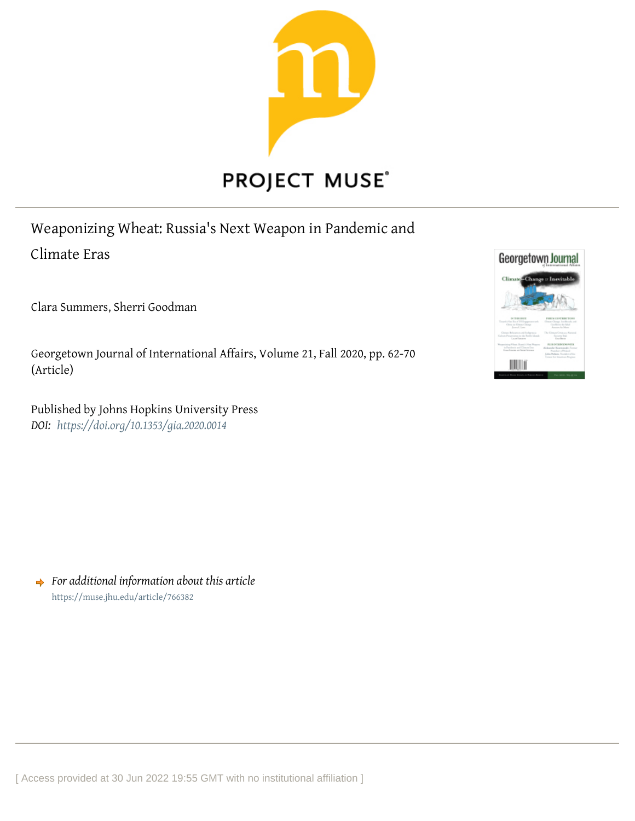

# Weaponizing Wheat: Russia's Next Weapon in Pandemic and Climate Eras

Clara Summers, Sherri Goodman

Georgetown Journal of International Affairs, Volume 21, Fall 2020, pp. 62-70 (Article)

Published by Johns Hopkins University Press *DOI: <https://doi.org/10.1353/gia.2020.0014>*



*For additional information about this article* <https://muse.jhu.edu/article/766382>

[ Access provided at 30 Jun 2022 19:55 GMT with no institutional affiliation ]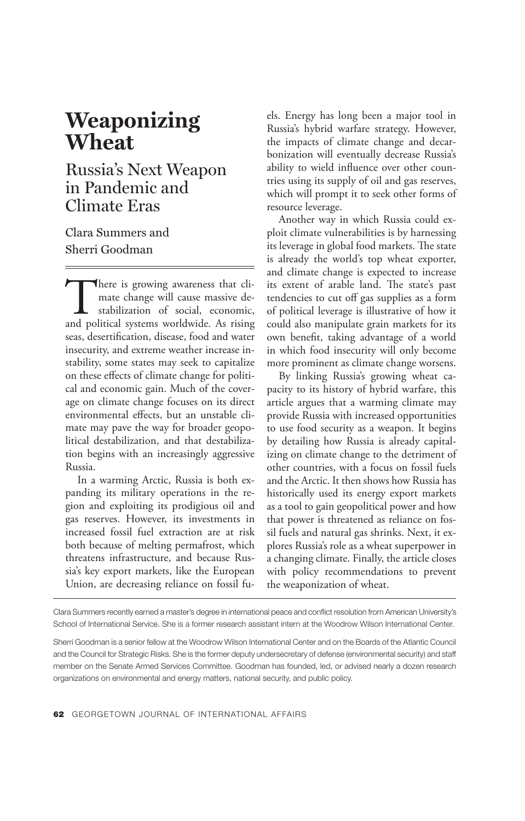## **Weaponizing Wheat**

Russia's Next Weapon in Pandemic and Climate Eras

Clara Summers and Sherri Goodman

There is growing awareness that climate change will cause massive destabilization of social, economic, and political systems worldwide. As rising mate change will cause massive destabilization of social, economic, seas, desertification, disease, food and water insecurity, and extreme weather increase instability, some states may seek to capitalize on these effects of climate change for political and economic gain. Much of the coverage on climate change focuses on its direct environmental effects, but an unstable climate may pave the way for broader geopolitical destabilization, and that destabilization begins with an increasingly aggressive Russia.

In a warming Arctic, Russia is both expanding its military operations in the region and exploiting its prodigious oil and gas reserves. However, its investments in increased fossil fuel extraction are at risk both because of melting permafrost, which threatens infrastructure, and because Russia's key export markets, like the European Union, are decreasing reliance on fossil fuels. Energy has long been a major tool in Russia's hybrid warfare strategy. However, the impacts of climate change and decarbonization will eventually decrease Russia's ability to wield influence over other countries using its supply of oil and gas reserves, which will prompt it to seek other forms of resource leverage.

Another way in which Russia could exploit climate vulnerabilities is by harnessing its leverage in global food markets. The state is already the world's top wheat exporter, and climate change is expected to increase its extent of arable land. The state's past tendencies to cut off gas supplies as a form of political leverage is illustrative of how it could also manipulate grain markets for its own benefit, taking advantage of a world in which food insecurity will only become more prominent as climate change worsens.

By linking Russia's growing wheat capacity to its history of hybrid warfare, this article argues that a warming climate may provide Russia with increased opportunities to use food security as a weapon. It begins by detailing how Russia is already capitalizing on climate change to the detriment of other countries, with a focus on fossil fuels and the Arctic. It then shows how Russia has historically used its energy export markets as a tool to gain geopolitical power and how that power is threatened as reliance on fossil fuels and natural gas shrinks. Next, it explores Russia's role as a wheat superpower in a changing climate. Finally, the article closes with policy recommendations to prevent the weaponization of wheat.

Sherri Goodman is a senior fellow at the Woodrow Wilson International Center and on the Boards of the Atlantic Council and the Council for Strategic Risks. She is the former deputy undersecretary of defense (environmental security) and staff member on the Senate Armed Services Committee. Goodman has founded, led, or advised nearly a dozen research organizations on environmental and energy matters, national security, and public policy.

Clara Summers recently earned a master's degree in international peace and conflict resolution from American University's School of International Service. She is a former research assistant intern at the Woodrow Wilson International Center.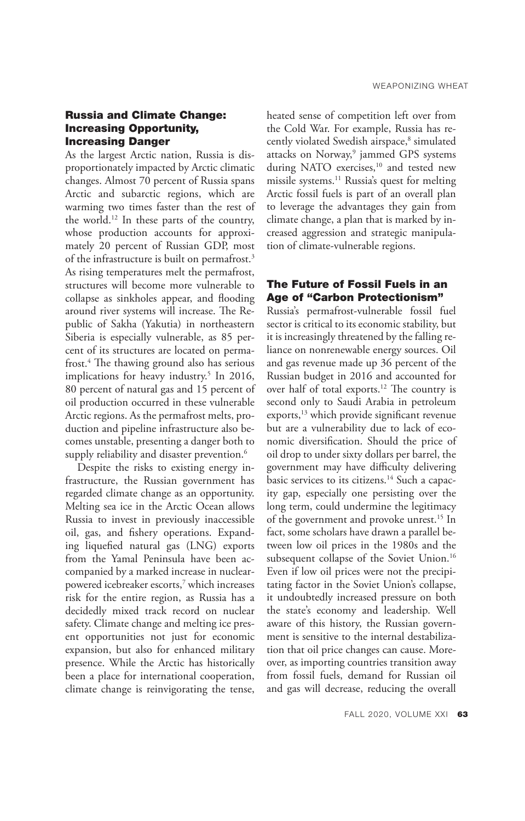## Russia and Climate Change: Increasing Opportunity, Increasing Danger

As the largest Arctic nation, Russia is disproportionately impacted by Arctic climatic changes. Almost 70 percent of Russia spans Arctic and subarctic regions, which are warming two times faster than the rest of the world[.12](#page-7-0) In these parts of the country, whose production accounts for approximately 20 percent of Russian GDP, most of the infrastructure is built on permafrost.<sup>[3](#page-7-0)</sup> As rising temperatures melt the permafrost, structures will become more vulnerable to collapse as sinkholes appear, and flooding around river systems will increase. The Republic of Sakha (Yakutia) in northeastern Siberia is especially vulnerable, as 85 percent of its structures are located on permafrost[.4](#page-7-0) The thawing ground also has serious implications for heavy industry.<sup>[5](#page-7-0)</sup> In 2016, 80 percent of natural gas and 15 percent of oil production occurred in these vulnerable Arctic regions. As the permafrost melts, production and pipeline infrastructure also becomes unstable, presenting a danger both to supply reliability and disaster prevention.<sup>6</sup>

Despite the risks to existing energy infrastructure, the Russian government has regarded climate change as an opportunity. Melting sea ice in the Arctic Ocean allows Russia to invest in previously inaccessible oil, gas, and fishery operations. Expanding liquefied natural gas (LNG) exports from the Yamal Peninsula have been accompanied by a marked increase in nuclear-powered icebreaker escorts,<sup>[7](#page-7-0)</sup> which increases risk for the entire region, as Russia has a decidedly mixed track record on nuclear safety. Climate change and melting ice present opportunities not just for economic expansion, but also for enhanced military presence. While the Arctic has historically been a place for international cooperation, climate change is reinvigorating the tense,

heated sense of competition left over from the Cold War. For example, Russia has re-cently violated Swedish airspace,<sup>[8](#page-7-0)</sup> simulated attacks on Norway,<sup>9</sup> jammed GPS systems during NATO exercises,<sup>[10](#page-7-0)</sup> and tested new missile systems.<sup>[11](#page-7-0)</sup> Russia's quest for melting Arctic fossil fuels is part of an overall plan to leverage the advantages they gain from climate change, a plan that is marked by increased aggression and strategic manipulation of climate-vulnerable regions.

## The Future of Fossil Fuels in an Age of "Carbon Protectionism"

Russia's permafrost-vulnerable fossil fuel sector is critical to its economic stability, but it is increasingly threatened by the falling reliance on nonrenewable energy sources. Oil and gas revenue made up 36 percent of the Russian budget in 2016 and accounted for over half of total exports[.12](#page-7-1) The country is second only to Saudi Arabia in petroleum exports,<sup>13</sup> which provide significant revenue but are a vulnerability due to lack of economic diversification. Should the price of oil drop to under sixty dollars per barrel, the government may have difficulty delivering basic services to its citizens.<sup>[14](#page-7-0)</sup> Such a capacity gap, especially one persisting over the long term, could undermine the legitimacy of the government and provoke unrest.<sup>[15](#page-7-0)</sup> In fact, some scholars have drawn a parallel between low oil prices in the 1980s and the subsequent collapse of the Soviet Union.<sup>16</sup> Even if low oil prices were not the precipitating factor in the Soviet Union's collapse, it undoubtedly increased pressure on both the state's economy and leadership. Well aware of this history, the Russian government is sensitive to the internal destabilization that oil price changes can cause. Moreover, as importing countries transition away from fossil fuels, demand for Russian oil and gas will decrease, reducing the overall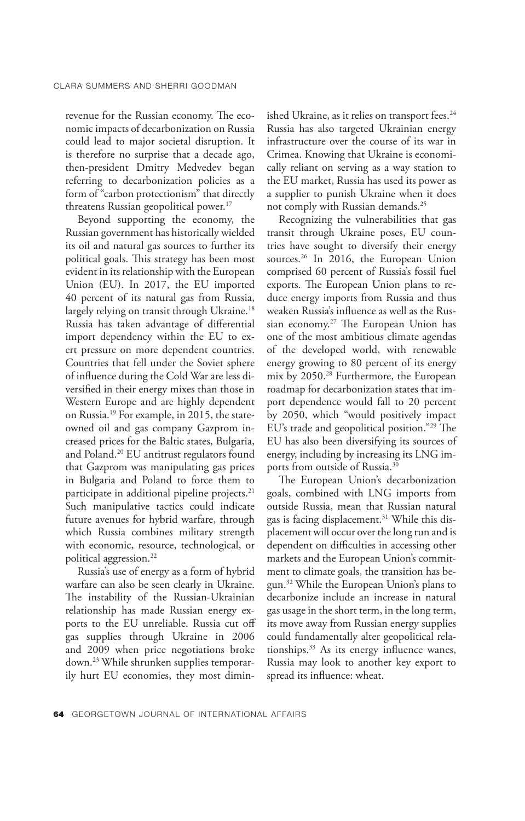revenue for the Russian economy. The economic impacts of decarbonization on Russia could lead to major societal disruption. It is therefore no surprise that a decade ago, then-president Dmitry Medvedev began referring to decarbonization policies as a form of "carbon protectionism" that directly threatens Russian geopolitical power.[17](#page-7-2)

Beyond supporting the economy, the Russian government has historically wielded its oil and natural gas sources to further its political goals. This strategy has been most evident in its relationship with the European Union (EU). In 2017, the EU imported 40 percent of its natural gas from Russia, largely relying on transit through Ukraine.<sup>18</sup> Russia has taken advantage of differential import dependency within the EU to exert pressure on more dependent countries. Countries that fell under the Soviet sphere of influence during the Cold War are less diversified in their energy mixes than those in Western Europe and are highly dependent on Russia[.19](#page-8-0) For example, in 2015, the stateowned oil and gas company Gazprom increased prices for the Baltic states, Bulgaria, and Poland[.20](#page-8-0) EU antitrust regulators found that Gazprom was manipulating gas prices in Bulgaria and Poland to force them to participate in additional pipeline projects.<sup>21</sup> Such manipulative tactics could indicate future avenues for hybrid warfare, through which Russia combines military strength with economic, resource, technological, or political aggression.[22](#page-8-0)

Russia's use of energy as a form of hybrid warfare can also be seen clearly in Ukraine. The instability of the Russian-Ukrainian relationship has made Russian energy exports to the EU unreliable. Russia cut off gas supplies through Ukraine in 2006 and 2009 when price negotiations broke down[.23](#page-8-0) While shrunken supplies temporarily hurt EU economies, they most diminished Ukraine, as it relies on transport fees.<sup>24</sup> Russia has also targeted Ukrainian energy infrastructure over the course of its war in Crimea. Knowing that Ukraine is economically reliant on serving as a way station to the EU market, Russia has used its power as a supplier to punish Ukraine when it does not comply with Russian demands.<sup>[25](#page-8-0)</sup>

Recognizing the vulnerabilities that gas transit through Ukraine poses, EU countries have sought to diversify their energy sources.<sup>[26](#page-8-0)</sup> In 2016, the European Union comprised 60 percent of Russia's fossil fuel exports. The European Union plans to reduce energy imports from Russia and thus weaken Russia's influence as well as the Russian economy.<sup>27</sup> The European Union has one of the most ambitious climate agendas of the developed world, with renewable energy growing to 80 percent of its energy mix by 205[0.28](#page-8-0) Furthermore, the European roadmap for decarbonization states that import dependence would fall to 20 percent by 2050, which "would positively impact EU's trade and geopolitical position."[29](#page-8-0) The EU has also been diversifying its sources of energy, including by increasing its LNG imports from outside of Russia[.30](#page-8-0)

The European Union's decarbonization goals, combined with LNG imports from outside Russia, mean that Russian natural gas is facing displacement.[31](#page-8-0) While this displacement will occur over the long run and is dependent on difficulties in accessing other markets and the European Union's commitment to climate goals, the transition has begun[.32](#page-8-0) While the European Union's plans to decarbonize include an increase in natural gas usage in the short term, in the long term, its move away from Russian energy supplies could fundamentally alter geopolitical relationships[.33](#page-8-0) As its energy influence wanes, Russia may look to another key export to spread its influence: wheat.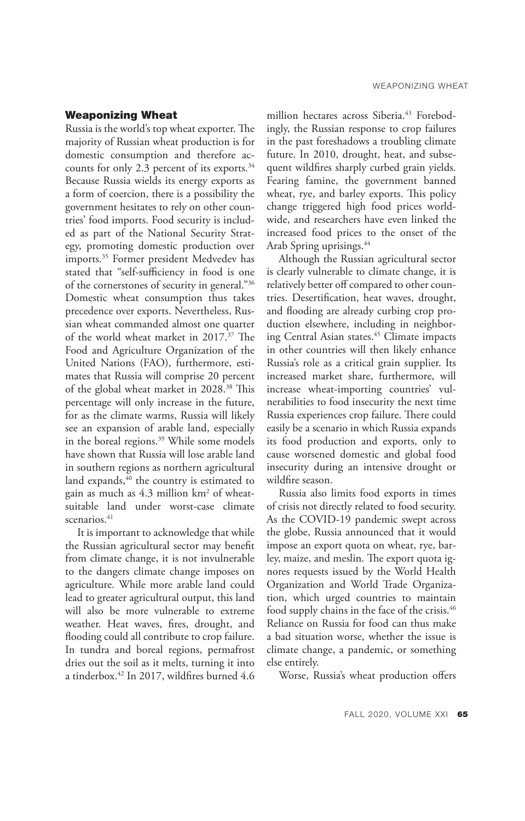#### Weaponizing Wheat

Russia is the world's top wheat exporter. The majority of Russian wheat production is for domestic consumption and therefore accounts for only 2.3 percent of its exports.<sup>34</sup> Because Russia wields its energy exports as a form of coercion, there is a possibility the government hesitates to rely on other countries' food imports. Food security is included as part of the National Security Strategy, promoting domestic production over imports[.35](#page-8-1) Former president Medvedev has stated that "self-sufficiency in food is one of the cornerstones of security in general.["36](#page-8-1) Domestic wheat consumption thus takes precedence over exports. Nevertheless, Russian wheat commanded almost one quarter of the world wheat market in 2017[.37](#page-8-1) The Food and Agriculture Organization of the United Nations (FAO), furthermore, estimates that Russia will comprise 20 percent of the global wheat market in 2028[.38](#page-8-1) This percentage will only increase in the future, for as the climate warms, Russia will likely see an expansion of arable land, especially in the boreal regions.<sup>39</sup> While some models have shown that Russia will lose arable land in southern regions as northern agricultural land expands,<sup>40</sup> the country is estimated to gain as much as 4.3 million km2 of wheatsuitable land under worst-case climate scenarios.<sup>41</sup>

It is important to acknowledge that while the Russian agricultural sector may benefit from climate change, it is not invulnerable to the dangers climate change imposes on agriculture. While more arable land could lead to greater agricultural output, this land will also be more vulnerable to extreme weather. Heat waves, fires, drought, and flooding could all contribute to crop failure. In tundra and boreal regions, permafrost dries out the soil as it melts, turning it into a tinderbox.<sup>42</sup> In 2017, wildfires burned 4.6

million hectares across Siberia.<sup>[43](#page-8-1)</sup> Forebodingly, the Russian response to crop failures in the past foreshadows a troubling climate future. In 2010, drought, heat, and subsequent wildfires sharply curbed grain yields. Fearing famine, the government banned wheat, rye, and barley exports. This policy change triggered high food prices worldwide, and researchers have even linked the increased food prices to the onset of the Arab Spring uprisings.<sup>[44](#page-8-1)</sup>

Although the Russian agricultural sector is clearly vulnerable to climate change, it is relatively better off compared to other countries. Desertification, heat waves, drought, and flooding are already curbing crop production elsewhere, including in neighbor-ing Central Asian states.<sup>[45](#page-8-1)</sup> Climate impacts in other countries will then likely enhance Russia's role as a critical grain supplier. Its increased market share, furthermore, will increase wheat-importing countries' vulnerabilities to food insecurity the next time Russia experiences crop failure. There could easily be a scenario in which Russia expands its food production and exports, only to cause worsened domestic and global food insecurity during an intensive drought or wildfire season.

Russia also limits food exports in times of crisis not directly related to food security. As the COVID-19 pandemic swept across the globe, Russia announced that it would impose an export quota on wheat, rye, barley, maize, and meslin. The export quota ignores requests issued by the World Health Organization and World Trade Organization, which urged countries to maintain food supply chains in the face of the crisis[.46](#page-9-0) Reliance on Russia for food can thus make a bad situation worse, whether the issue is climate change, a pandemic, or something else entirely.

Worse, Russia's wheat production offers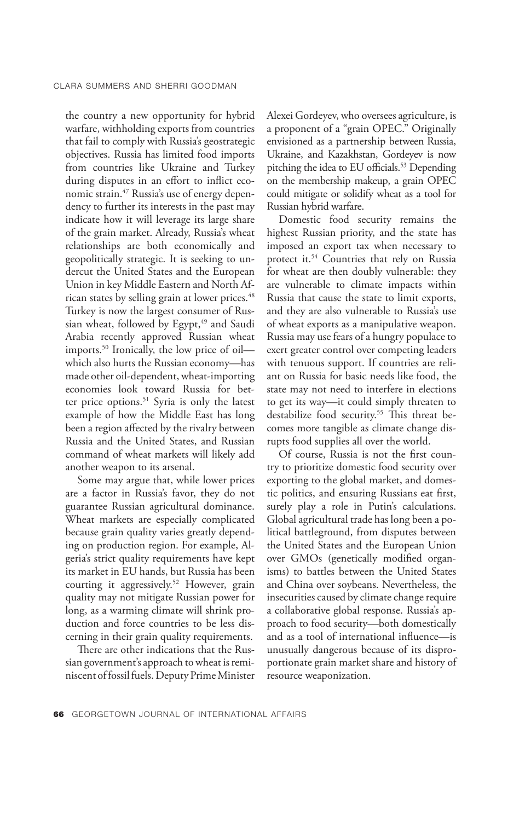the country a new opportunity for hybrid warfare, withholding exports from countries that fail to comply with Russia's geostrategic objectives. Russia has limited food imports from countries like Ukraine and Turkey during disputes in an effort to inflict economic strain.[47](#page-9-1) Russia's use of energy dependency to further its interests in the past may indicate how it will leverage its large share of the grain market. Already, Russia's wheat relationships are both economically and geopolitically strategic. It is seeking to undercut the United States and the European Union in key Middle Eastern and North African states by selling grain at lower prices.<sup>48</sup> Turkey is now the largest consumer of Russian wheat, followed by Egypt,<sup>49</sup> and Saudi Arabia recently approved Russian wheat imports.[50](#page-9-1) Ironically, the low price of oil which also hurts the Russian economy—has made other oil-dependent, wheat-importing economies look toward Russia for better price options.<sup>51</sup> Syria is only the latest example of how the Middle East has long been a region affected by the rivalry between Russia and the United States, and Russian command of wheat markets will likely add another weapon to its arsenal.

Some may argue that, while lower prices are a factor in Russia's favor, they do not guarantee Russian agricultural dominance. Wheat markets are especially complicated because grain quality varies greatly depending on production region. For example, Algeria's strict quality requirements have kept its market in EU hands, but Russia has been courting it aggressively.<sup>[52](#page-9-1)</sup> However, grain quality may not mitigate Russian power for long, as a warming climate will shrink production and force countries to be less discerning in their grain quality requirements.

There are other indications that the Russian government's approach to wheat is reminiscent of fossil fuels. Deputy Prime Minister

Alexei Gordeyev, who oversees agriculture, is a proponent of a "grain OPEC." Originally envisioned as a partnership between Russia, Ukraine, and Kazakhstan, Gordeyev is now pitching the idea to EU officials.<sup>53</sup> Depending on the membership makeup, a grain OPEC could mitigate or solidify wheat as a tool for Russian hybrid warfare.

Domestic food security remains the highest Russian priority, and the state has imposed an export tax when necessary to protect it.<sup>54</sup> Countries that rely on Russia for wheat are then doubly vulnerable: they are vulnerable to climate impacts within Russia that cause the state to limit exports, and they are also vulnerable to Russia's use of wheat exports as a manipulative weapon. Russia may use fears of a hungry populace to exert greater control over competing leaders with tenuous support. If countries are reliant on Russia for basic needs like food, the state may not need to interfere in elections to get its way—it could simply threaten to destabilize food security.<sup>[55](#page-9-1)</sup> This threat becomes more tangible as climate change disrupts food supplies all over the world.

Of course, Russia is not the first country to prioritize domestic food security over exporting to the global market, and domestic politics, and ensuring Russians eat first, surely play a role in Putin's calculations. Global agricultural trade has long been a political battleground, from disputes between the United States and the European Union over GMOs (genetically modified organisms) to battles between the United States and China over soybeans. Nevertheless, the insecurities caused by climate change require a collaborative global response. Russia's approach to food security—both domestically and as a tool of international influence—is unusually dangerous because of its disproportionate grain market share and history of resource weaponization.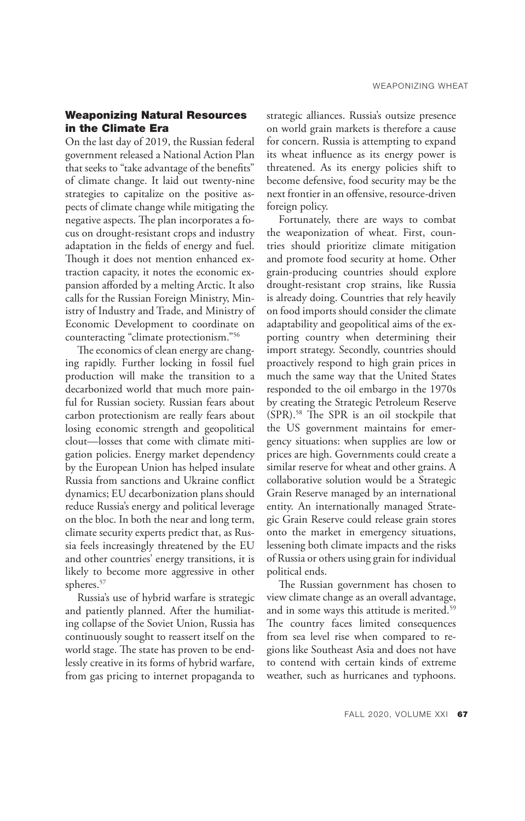#### Weaponizing Natural Resources in the Climate Era

On the last day of 2019, the Russian federal government released a National Action Plan that seeks to "take advantage of the benefits" of climate change. It laid out twenty-nine strategies to capitalize on the positive aspects of climate change while mitigating the negative aspects. The plan incorporates a focus on drought-resistant crops and industry adaptation in the fields of energy and fuel. Though it does not mention enhanced extraction capacity, it notes the economic expansion afforded by a melting Arctic. It also calls for the Russian Foreign Ministry, Ministry of Industry and Trade, and Ministry of Economic Development to coordinate on counteracting "climate protectionism."[56](#page-9-0)

The economics of clean energy are changing rapidly. Further locking in fossil fuel production will make the transition to a decarbonized world that much more painful for Russian society. Russian fears about carbon protectionism are really fears about losing economic strength and geopolitical clout—losses that come with climate mitigation policies. Energy market dependency by the European Union has helped insulate Russia from sanctions and Ukraine conflict dynamics; EU decarbonization plans should reduce Russia's energy and political leverage on the bloc. In both the near and long term, climate security experts predict that, as Russia feels increasingly threatened by the EU and other countries' energy transitions, it is likely to become more aggressive in other spheres.<sup>[57](#page-9-0)</sup>

Russia's use of hybrid warfare is strategic and patiently planned. After the humiliating collapse of the Soviet Union, Russia has continuously sought to reassert itself on the world stage. The state has proven to be endlessly creative in its forms of hybrid warfare, from gas pricing to internet propaganda to

strategic alliances. Russia's outsize presence on world grain markets is therefore a cause for concern. Russia is attempting to expand its wheat influence as its energy power is threatened. As its energy policies shift to become defensive, food security may be the next frontier in an offensive, resource-driven foreign policy.

Fortunately, there are ways to combat the weaponization of wheat. First, countries should prioritize climate mitigation and promote food security at home. Other grain-producing countries should explore drought-resistant crop strains, like Russia is already doing. Countries that rely heavily on food imports should consider the climate adaptability and geopolitical aims of the exporting country when determining their import strategy. Secondly, countries should proactively respond to high grain prices in much the same way that the United States responded to the oil embargo in the 1970s by creating the Strategic Petroleum Reserve (SPR).[58](#page-9-0) The SPR is an oil stockpile that the US government maintains for emergency situations: when supplies are low or prices are high. Governments could create a similar reserve for wheat and other grains. A collaborative solution would be a Strategic Grain Reserve managed by an international entity. An internationally managed Strategic Grain Reserve could release grain stores onto the market in emergency situations, lessening both climate impacts and the risks of Russia or others using grain for individual political ends.

The Russian government has chosen to view climate change as an overall advantage, and in some ways this attitude is merited.<sup>59</sup> The country faces limited consequences from sea level rise when compared to regions like Southeast Asia and does not have to contend with certain kinds of extreme weather, such as hurricanes and typhoons.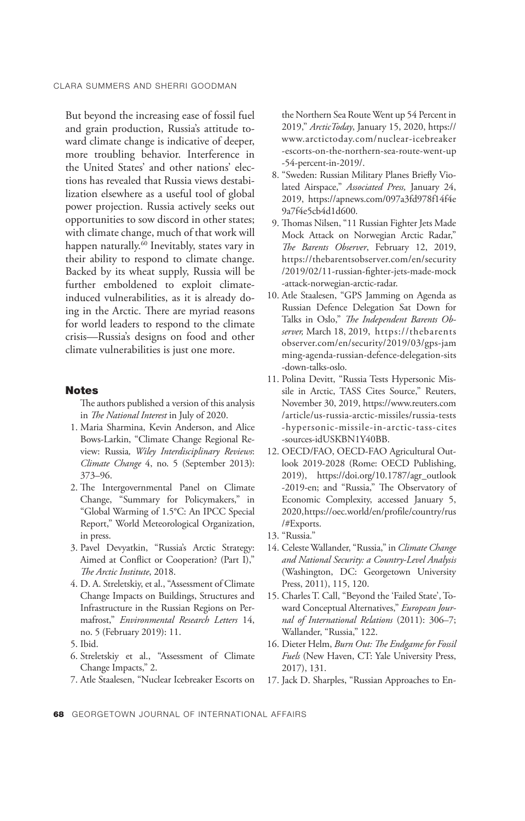<span id="page-7-2"></span><span id="page-7-1"></span><span id="page-7-0"></span>But beyond the increasing ease of fossil fuel and grain production, Russia's attitude toward climate change is indicative of deeper, more troubling behavior. Interference in the United States' and other nations' elections has revealed that Russia views destabilization elsewhere as a useful tool of global power projection. Russia actively seeks out opportunities to sow discord in other states; with climate change, much of that work will happen naturally.<sup>60</sup> Inevitably, states vary in their ability to respond to climate change. Backed by its wheat supply, Russia will be further emboldened to exploit climateinduced vulnerabilities, as it is already doing in the Arctic. There are myriad reasons for world leaders to respond to the climate crisis—Russia's designs on food and other climate vulnerabilities is just one more.

#### **Notes**

 The authors published a version of this analysis in *The National Interest* in July of 2020.

- 1. Maria Sharmina, Kevin Anderson, and Alice Bows-Larkin, "Climate Change Regional Review: Russia*, Wiley Interdisciplinary Reviews*: *Climate Change* 4, no. 5 (September 2013): 373–96.
- 2. The Intergovernmental Panel on Climate Change, "Summary for Policymakers," in "Global Warming of 1.5°C: An IPCC Special Report," World Meteorological Organization, in press.
- 3. Pavel Devyatkin, "Russia's Arctic Strategy: Aimed at Conflict or Cooperation? (Part I)," *The Arctic Institute*, 2018.
- 4. D. A. Streletskiy, et al., "Assessment of Climate Change Impacts on Buildings, Structures and Infrastructure in the Russian Regions on Permafrost," *Environmental Research Letters* 14, no. 5 (February 2019): 11.
- 5. Ibid.
- 6. Streletskiy et al., "Assessment of Climate Change Impacts," 2.
- 7. Atle Staalesen, "Nuclear Icebreaker Escorts on

the Northern Sea Route Went up 54 Percent in 2019," *ArcticToday*, January 15, 2020, [https://](https://www.arctictoday.com/nuclear-icebreaker-escorts-on-the-northern-sea-route-went-up-54-percent-in-2019/) [www.arctictoday.com/nuclear-icebreaker](https://www.arctictoday.com/nuclear-icebreaker-escorts-on-the-northern-sea-route-went-up-54-percent-in-2019/) [-escorts-on-the-northern-sea-route-went-up](https://www.arctictoday.com/nuclear-icebreaker-escorts-on-the-northern-sea-route-went-up-54-percent-in-2019/) [-54-percent-in-2019/.](https://www.arctictoday.com/nuclear-icebreaker-escorts-on-the-northern-sea-route-went-up-54-percent-in-2019/)

- 8. "Sweden: Russian Military Planes Briefly Violated Airspace," *Associated Press,* January 24, 2019, [https://apnews.com/097a3fd978f14f4e](https://apnews.com/097a3fd978f14f4e9a7f4e5cb4d1d600) [9a7f4e5cb4d1d600.](https://apnews.com/097a3fd978f14f4e9a7f4e5cb4d1d600)
- 9. Thomas Nilsen, "11 Russian Fighter Jets Made Mock Attack on Norwegian Arctic Radar," *The Barents Observer*, February 12, 2019, [https://thebarentsobserver.com/en/security](https://thebarentsobserver.com/en/security/2019/02/11-russian-fighter-jets-made-mock-attack-norwegian-arctic-radar) [/2019/02/11-russian-fighter-jets-made-mock](https://thebarentsobserver.com/en/security/2019/02/11-russian-fighter-jets-made-mock-attack-norwegian-arctic-radar) [-attack-norwegian-arctic-radar.](https://thebarentsobserver.com/en/security/2019/02/11-russian-fighter-jets-made-mock-attack-norwegian-arctic-radar)
- 10. Atle Staalesen, "GPS Jamming on Agenda as Russian Defence Delegation Sat Down for Talks in Oslo," *The Independent Barents Observer,* March 18, 2019, [https://thebarents](https://thebarentsobserver.com/en/security/2019/03/gps-jamming-agenda-russian-defence-delegation-sits-down-talks-oslo) [observer.com/en/security/2019/03/gps-jam](https://thebarentsobserver.com/en/security/2019/03/gps-jamming-agenda-russian-defence-delegation-sits-down-talks-oslo) [ming-agenda-russian-defence-delegation-sits](https://thebarentsobserver.com/en/security/2019/03/gps-jamming-agenda-russian-defence-delegation-sits-down-talks-oslo) [-down-talks-oslo.](https://thebarentsobserver.com/en/security/2019/03/gps-jamming-agenda-russian-defence-delegation-sits-down-talks-oslo)
- 11. Polina Devitt, "Russia Tests Hypersonic Missile in Arctic, TASS Cites Source," Reuters, November 30, 2019, [https://www.reuters.com](https://www.reuters.com/article/us-russia-arctic-missiles/russia-tests-hypersonic-missile-in-arctic-tass-cites-sources-idUSKBN1Y40BB) [/article/us-russia-arctic-missiles/russia-tests](https://www.reuters.com/article/us-russia-arctic-missiles/russia-tests-hypersonic-missile-in-arctic-tass-cites-sources-idUSKBN1Y40BB) [-hypersonic-missile-in-arctic-tass-cites](https://www.reuters.com/article/us-russia-arctic-missiles/russia-tests-hypersonic-missile-in-arctic-tass-cites-sources-idUSKBN1Y40BB) [-sources-idUSKBN1Y40BB.](https://www.reuters.com/article/us-russia-arctic-missiles/russia-tests-hypersonic-missile-in-arctic-tass-cites-sources-idUSKBN1Y40BB)
- 12. OECD/FAO, OECD-FAO Agricultural Outlook 2019-2028 (Rome: OECD Publishing, 2019), [https://doi.org/10.1787/agr\\_outlook](https://doi.org/10.1787/agr_outlook-2019-en) [-2019-en;](https://doi.org/10.1787/agr_outlook-2019-en) and "Russia," The Observatory of Economic Complexity, accessed January 5, 2020[, https://oec.world/en/profile/country/rus](https://oec.world/en/profile/country/rus/#Exports) [/#Exports.](https://oec.world/en/profile/country/rus/#Exports)
- 13. "Russia."
- 14. Celeste Wallander, "Russia," in *Climate Change and National Security: a Country-Level Analysis* (Washington, DC: Georgetown University Press, 2011), 115, 120.
- 15. Charles T. Call, "Beyond the 'Failed State', Toward Conceptual Alternatives," *European Journal of International Relations* (2011): 306–7; Wallander, "Russia," 122.
- 16. Dieter Helm, *Burn Out: The Endgame for Fossil Fuels* (New Haven, CT: Yale University Press, 2017), 131.
- 17. Jack D. Sharples, "Russian Approaches to En-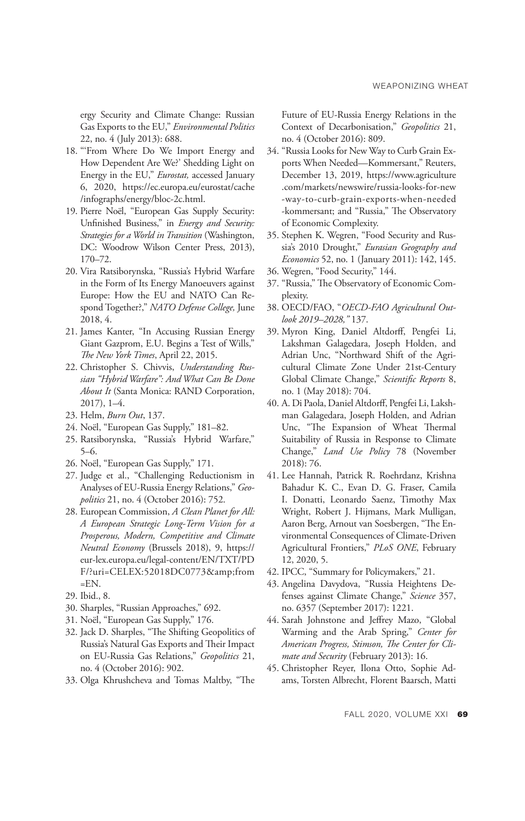<span id="page-8-1"></span><span id="page-8-0"></span>ergy Security and Climate Change: Russian Gas Exports to the EU," *Environmental Politics*  22, no. 4 (July 2013): 688.

- 18. "'From Where Do We Import Energy and How Dependent Are We?' Shedding Light on Energy in the EU," *Eurostat,* accessed January 6, 2020, [https://ec.europa.eu/eurostat/cache](https://ec.europa.eu/eurostat/cache/infographs/energy/bloc-2c.html) [/infographs/energy/bloc-2c.html.](https://ec.europa.eu/eurostat/cache/infographs/energy/bloc-2c.html)
- 19. Pierre Noël, "European Gas Supply Security: Unfinished Business," in *Energy and Security: Strategies for a World in Transition* (Washington, DC: Woodrow Wilson Center Press, 2013), 170–72.
- 20. Vira Ratsiborynska, "Russia's Hybrid Warfare in the Form of Its Energy Manoeuvers against Europe: How the EU and NATO Can Respond Together?," *NATO Defense College,* June 2018, 4.
- 21. James Kanter, "In Accusing Russian Energy Giant Gazprom, E.U. Begins a Test of Wills," *The New York Times*, April 22, 2015.
- 22. Christopher S. Chivvis, *Understanding Russian "Hybrid Warfare": And What Can Be Done About It* (Santa Monica: RAND Corporation, 2017), 1–4.
- 23. Helm, *Burn Out*, 137.
- 24. Noël, "European Gas Supply," 181–82.
- 25. Ratsiborynska, "Russia's Hybrid Warfare," 5–6.
- 26. Noël, "European Gas Supply," 171.
- 27. Judge et al., "Challenging Reductionism in Analyses of EU-Russia Energy Relations," *Geopolitics* 21, no. 4 (October 2016): 752.
- 28. European Commission, *A Clean Planet for All: A European Strategic Long-Term Vision for a Prosperous, Modern, Competitive and Climate Neutral Economy* (Brussels 2018), 9, [https://](https://eur-lex.europa.eu/legal-content/EN/TXT/PDF/?uri=CELEX:52018DC0773&from=EN) [eur-lex.europa.eu/legal-content/EN/TXT/PD](https://eur-lex.europa.eu/legal-content/EN/TXT/PDF/?uri=CELEX:52018DC0773&from=EN) [F/?uri=CELEX:52018DC0773&from](https://eur-lex.europa.eu/legal-content/EN/TXT/PDF/?uri=CELEX:52018DC0773&from=EN)  $=$ EN.
- 29. Ibid., 8.
- 30. Sharples, "Russian Approaches," 692.
- 31. Noël, "European Gas Supply," 176.
- 32. Jack D. Sharples, "The Shifting Geopolitics of Russia's Natural Gas Exports and Their Impact on EU-Russia Gas Relations," *Geopolitics* 21, no. 4 (October 2016): 902.
- 33. Olga Khrushcheva and Tomas Maltby, "The

Future of EU-Russia Energy Relations in the Context of Decarbonisation," *Geopolitics* 21, no. 4 (October 2016): 809.

- 34. "Russia Looks for New Way to Curb Grain Exports When Needed—Kommersant," Reuters, December 13, 2019, [https://www.agriculture](https://www.agriculture.com/markets/newswire/russia-looks-for-new-way-to-curb-grain-exports-when-needed-kommersant) [.com/markets/newswire/russia-looks-for-new](https://www.agriculture.com/markets/newswire/russia-looks-for-new-way-to-curb-grain-exports-when-needed-kommersant) [-way-to-curb-grain-exports-when-needed](https://www.agriculture.com/markets/newswire/russia-looks-for-new-way-to-curb-grain-exports-when-needed-kommersant) [-kommersant;](https://www.agriculture.com/markets/newswire/russia-looks-for-new-way-to-curb-grain-exports-when-needed-kommersant) and "Russia," The Observatory of Economic Complexity.
- 35. Stephen K. Wegren, "Food Security and Russia's 2010 Drought," *Eurasian Geography and Economics* 52, no. 1 (January 2011): 142, 145.
- 36. Wegren, "Food Security," 144.
- 37. "Russia," The Observatory of Economic Complexity.
- 38. OECD/FAO, "*OECD-FAO Agricultural Outlook 2019–2028,"* 137.
- 39. Myron King, Daniel Altdorff, Pengfei Li, Lakshman Galagedara, Joseph Holden, and Adrian Unc, "Northward Shift of the Agricultural Climate Zone Under 21st-Century Global Climate Change," *Scientific Reports* 8, no. 1 (May 2018): 704.
- 40. A. Di Paola, Daniel Altdorff, Pengfei Li, Lakshman Galagedara, Joseph Holden, and Adrian Unc, "The Expansion of Wheat Thermal Suitability of Russia in Response to Climate Change," *Land Use Policy* 78 (November 2018): 76.
- 41. Lee Hannah, Patrick R. Roehrdanz, Krishna Bahadur K. C., Evan D. G. Fraser, Camila I. Donatti, Leonardo Saenz, Timothy Max Wright, Robert J. Hijmans, Mark Mulligan, Aaron Berg, Arnout van Soesbergen, "The Environmental Consequences of Climate-Driven Agricultural Frontiers," *PLoS ONE*, February 12, 2020, 5.
- 42. IPCC, "Summary for Policymakers," 21.
- 43. Angelina Davydova, "Russia Heightens Defenses against Climate Change," *Science* 357, no. 6357 (September 2017): 1221.
- 44. Sarah Johnstone and Jeffrey Mazo, "Global Warming and the Arab Spring," *Center for American Progress, Stimson, The Center for Climate and Security* (February 2013): 16.
- 45. Christopher Reyer, Ilona Otto, Sophie Adams, Torsten Albrecht, Florent Baarsch, Matti